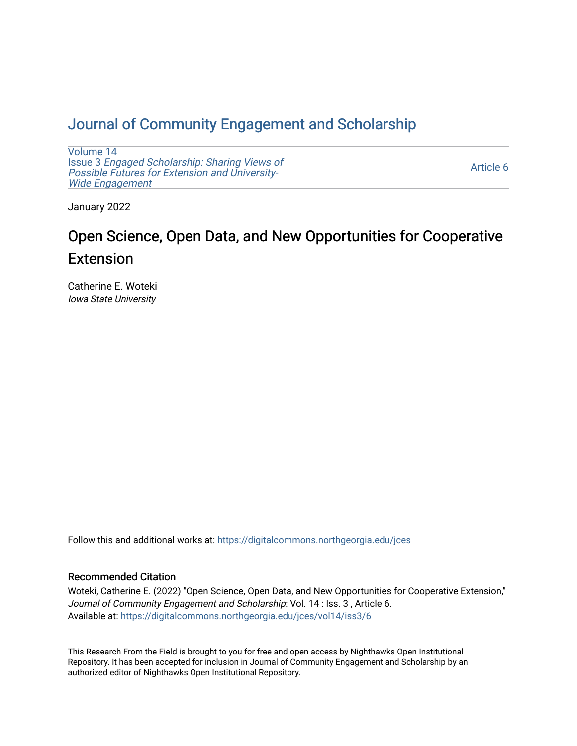# [Journal of Community Engagement and Scholarship](https://digitalcommons.northgeorgia.edu/jces)

[Volume 14](https://digitalcommons.northgeorgia.edu/jces/vol14) Issue 3 [Engaged Scholarship: Sharing Views of](https://digitalcommons.northgeorgia.edu/jces/vol14/iss3) [Possible Futures for Extension and University-](https://digitalcommons.northgeorgia.edu/jces/vol14/iss3)[Wide Engagement](https://digitalcommons.northgeorgia.edu/jces/vol14/iss3) 

[Article 6](https://digitalcommons.northgeorgia.edu/jces/vol14/iss3/6) 

January 2022

# Open Science, Open Data, and New Opportunities for Cooperative Extension

Catherine E. Woteki Iowa State University

Follow this and additional works at: [https://digitalcommons.northgeorgia.edu/jces](https://digitalcommons.northgeorgia.edu/jces?utm_source=digitalcommons.northgeorgia.edu%2Fjces%2Fvol14%2Fiss3%2F6&utm_medium=PDF&utm_campaign=PDFCoverPages)

# Recommended Citation

Woteki, Catherine E. (2022) "Open Science, Open Data, and New Opportunities for Cooperative Extension," Journal of Community Engagement and Scholarship: Vol. 14 : Iss. 3 , Article 6. Available at: [https://digitalcommons.northgeorgia.edu/jces/vol14/iss3/6](https://digitalcommons.northgeorgia.edu/jces/vol14/iss3/6?utm_source=digitalcommons.northgeorgia.edu%2Fjces%2Fvol14%2Fiss3%2F6&utm_medium=PDF&utm_campaign=PDFCoverPages) 

This Research From the Field is brought to you for free and open access by Nighthawks Open Institutional Repository. It has been accepted for inclusion in Journal of Community Engagement and Scholarship by an authorized editor of Nighthawks Open Institutional Repository.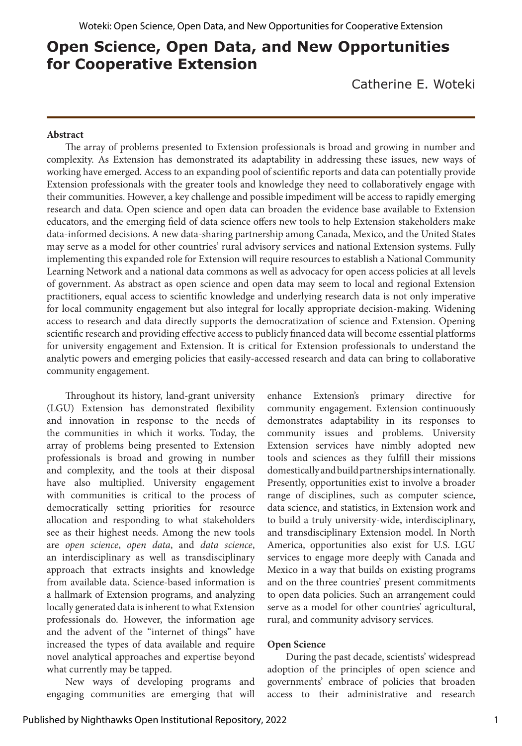# **Open Science, Open Data, and New Opportunities for Cooperative Extension**

Catherine E. Woteki

#### **Abstract**

The array of problems presented to Extension professionals is broad and growing in number and complexity. As Extension has demonstrated its adaptability in addressing these issues, new ways of working have emerged. Access to an expanding pool of scientific reports and data can potentially provide Extension professionals with the greater tools and knowledge they need to collaboratively engage with their communities. However, a key challenge and possible impediment will be access to rapidly emerging research and data. Open science and open data can broaden the evidence base available to Extension educators, and the emerging field of data science offers new tools to help Extension stakeholders make data-informed decisions. A new data-sharing partnership among Canada, Mexico, and the United States may serve as a model for other countries' rural advisory services and national Extension systems. Fully implementing this expanded role for Extension will require resources to establish a National Community Learning Network and a national data commons as well as advocacy for open access policies at all levels of government. As abstract as open science and open data may seem to local and regional Extension practitioners, equal access to scientific knowledge and underlying research data is not only imperative for local community engagement but also integral for locally appropriate decision-making. Widening access to research and data directly supports the democratization of science and Extension. Opening scientific research and providing effective access to publicly financed data will become essential platforms for university engagement and Extension. It is critical for Extension professionals to understand the analytic powers and emerging policies that easily-accessed research and data can bring to collaborative community engagement.

Throughout its history, land-grant university (LGU) Extension has demonstrated flexibility and innovation in response to the needs of the communities in which it works. Today, the array of problems being presented to Extension professionals is broad and growing in number and complexity, and the tools at their disposal have also multiplied. University engagement with communities is critical to the process of democratically setting priorities for resource allocation and responding to what stakeholders see as their highest needs. Among the new tools are *open science*, *open data*, and *data science*, an interdisciplinary as well as transdisciplinary approach that extracts insights and knowledge from available data. Science-based information is a hallmark of Extension programs, and analyzing locally generated data is inherent to what Extension professionals do. However, the information age and the advent of the "internet of things" have increased the types of data available and require novel analytical approaches and expertise beyond what currently may be tapped.

New ways of developing programs and engaging communities are emerging that will enhance Extension's primary directive for community engagement. Extension continuously demonstrates adaptability in its responses to community issues and problems. University Extension services have nimbly adopted new tools and sciences as they fulfill their missions domestically and build partnerships internationally. Presently, opportunities exist to involve a broader range of disciplines, such as computer science, data science, and statistics, in Extension work and to build a truly university-wide, interdisciplinary, and transdisciplinary Extension model. In North America, opportunities also exist for U.S. LGU services to engage more deeply with Canada and Mexico in a way that builds on existing programs and on the three countries' present commitments to open data policies. Such an arrangement could serve as a model for other countries' agricultural, rural, and community advisory services.

#### **Open Science**

During the past decade, scientists' widespread adoption of the principles of open science and governments' embrace of policies that broaden access to their administrative and research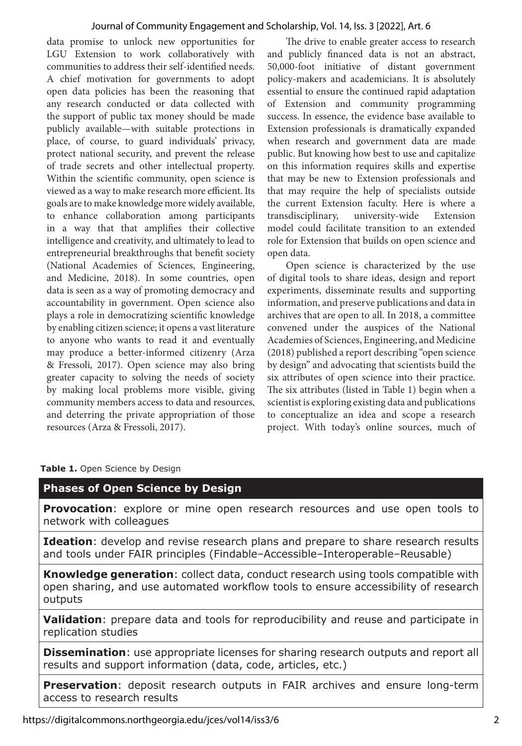#### Journal of Community Engagement and Scholarship, Vol. 14, Iss. 3 [2022], Art. 6

data promise to unlock new opportunities for LGU Extension to work collaboratively with communities to address their self-identified needs. A chief motivation for governments to adopt open data policies has been the reasoning that any research conducted or data collected with the support of public tax money should be made publicly available—with suitable protections in place, of course, to guard individuals' privacy, protect national security, and prevent the release of trade secrets and other intellectual property. Within the scientific community, open science is viewed as a way to make research more efficient. Its goals are to make knowledge more widely available, to enhance collaboration among participants in a way that that amplifies their collective intelligence and creativity, and ultimately to lead to entrepreneurial breakthroughs that benefit society (National Academies of Sciences, Engineering, and Medicine, 2018). In some countries, open data is seen as a way of promoting democracy and accountability in government. Open science also plays a role in democratizing scientific knowledge by enabling citizen science; it opens a vast literature to anyone who wants to read it and eventually may produce a better-informed citizenry (Arza & Fressoli, 2017). Open science may also bring greater capacity to solving the needs of society by making local problems more visible, giving community members access to data and resources, and deterring the private appropriation of those resources (Arza & Fressoli, 2017).

The drive to enable greater access to research and publicly financed data is not an abstract, 50,000-foot initiative of distant government policy-makers and academicians. It is absolutely essential to ensure the continued rapid adaptation of Extension and community programming success. In essence, the evidence base available to Extension professionals is dramatically expanded when research and government data are made public. But knowing how best to use and capitalize on this information requires skills and expertise that may be new to Extension professionals and that may require the help of specialists outside the current Extension faculty. Here is where a transdisciplinary, university-wide Extension model could facilitate transition to an extended role for Extension that builds on open science and open data.

Open science is characterized by the use of digital tools to share ideas, design and report experiments, disseminate results and supporting information, and preserve publications and data in archives that are open to all. In 2018, a committee convened under the auspices of the National Academies of Sciences, Engineering, and Medicine (2018) published a report describing "open science by design" and advocating that scientists build the six attributes of open science into their practice. The six attributes (listed in Table 1) begin when a scientist is exploring existing data and publications to conceptualize an idea and scope a research project. With today's online sources, much of

# **Table 1.** Open Science by Design

# **Phases of Open Science by Design**

**Provocation**: explore or mine open research resources and use open tools to network with colleagues

**Ideation**: develop and revise research plans and prepare to share research results and tools under FAIR principles (Findable–Accessible–Interoperable–Reusable)

**Knowledge generation**: collect data, conduct research using tools compatible with open sharing, and use automated workflow tools to ensure accessibility of research outputs

**Validation**: prepare data and tools for reproducibility and reuse and participate in replication studies

**Dissemination**: use appropriate licenses for sharing research outputs and report all results and support information (data, code, articles, etc.)

**Preservation**: deposit research outputs in FAIR archives and ensure long-term access to research results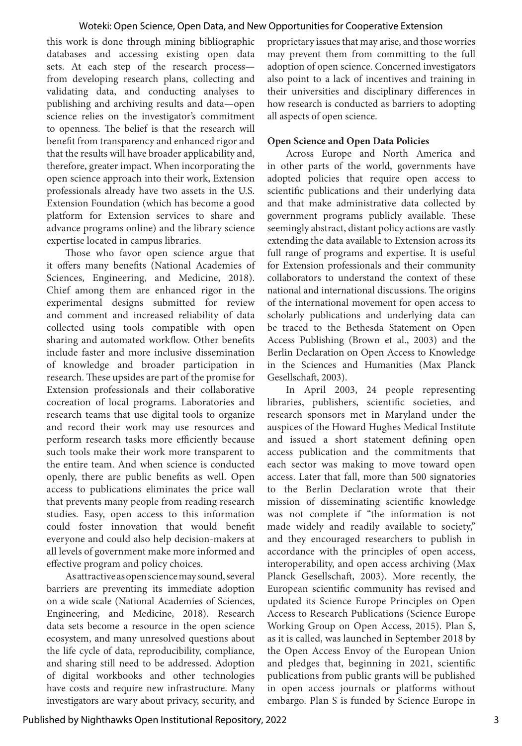#### Woteki: Open Science, Open Data, and New Opportunities for Cooperative Extension

this work is done through mining bibliographic databases and accessing existing open data sets. At each step of the research process from developing research plans, collecting and validating data, and conducting analyses to publishing and archiving results and data—open science relies on the investigator's commitment to openness. The belief is that the research will benefit from transparency and enhanced rigor and that the results will have broader applicability and, therefore, greater impact. When incorporating the open science approach into their work, Extension professionals already have two assets in the U.S. Extension Foundation (which has become a good platform for Extension services to share and advance programs online) and the library science expertise located in campus libraries.

Those who favor open science argue that it offers many benefits (National Academies of Sciences, Engineering, and Medicine, 2018). Chief among them are enhanced rigor in the experimental designs submitted for review and comment and increased reliability of data collected using tools compatible with open sharing and automated workflow. Other benefits include faster and more inclusive dissemination of knowledge and broader participation in research. These upsides are part of the promise for Extension professionals and their collaborative cocreation of local programs. Laboratories and research teams that use digital tools to organize and record their work may use resources and perform research tasks more efficiently because such tools make their work more transparent to the entire team. And when science is conducted openly, there are public benefits as well. Open access to publications eliminates the price wall that prevents many people from reading research studies. Easy, open access to this information could foster innovation that would benefit everyone and could also help decision-makers at all levels of government make more informed and effective program and policy choices.

As attractive as open science may sound, several barriers are preventing its immediate adoption on a wide scale (National Academies of Sciences, Engineering, and Medicine, 2018). Research data sets become a resource in the open science ecosystem, and many unresolved questions about the life cycle of data, reproducibility, compliance, and sharing still need to be addressed. Adoption of digital workbooks and other technologies have costs and require new infrastructure. Many investigators are wary about privacy, security, and proprietary issues that may arise, and those worries may prevent them from committing to the full adoption of open science. Concerned investigators also point to a lack of incentives and training in their universities and disciplinary differences in how research is conducted as barriers to adopting all aspects of open science.

#### **Open Science and Open Data Policies**

Across Europe and North America and in other parts of the world, governments have adopted policies that require open access to scientific publications and their underlying data and that make administrative data collected by government programs publicly available. These seemingly abstract, distant policy actions are vastly extending the data available to Extension across its full range of programs and expertise. It is useful for Extension professionals and their community collaborators to understand the context of these national and international discussions. The origins of the international movement for open access to scholarly publications and underlying data can be traced to the Bethesda Statement on Open Access Publishing (Brown et al., 2003) and the Berlin Declaration on Open Access to Knowledge in the Sciences and Humanities (Max Planck Gesellschaft, 2003).

In April 2003, 24 people representing libraries, publishers, scientific societies, and research sponsors met in Maryland under the auspices of the Howard Hughes Medical Institute and issued a short statement defining open access publication and the commitments that each sector was making to move toward open access. Later that fall, more than 500 signatories to the Berlin Declaration wrote that their mission of disseminating scientific knowledge was not complete if "the information is not made widely and readily available to society," and they encouraged researchers to publish in accordance with the principles of open access, interoperability, and open access archiving (Max Planck Gesellschaft, 2003). More recently, the European scientific community has revised and updated its Science Europe Principles on Open Access to Research Publications (Science Europe Working Group on Open Access, 2015). Plan S, as it is called, was launched in September 2018 by the Open Access Envoy of the European Union and pledges that, beginning in 2021, scientific publications from public grants will be published in open access journals or platforms without embargo. Plan S is funded by Science Europe in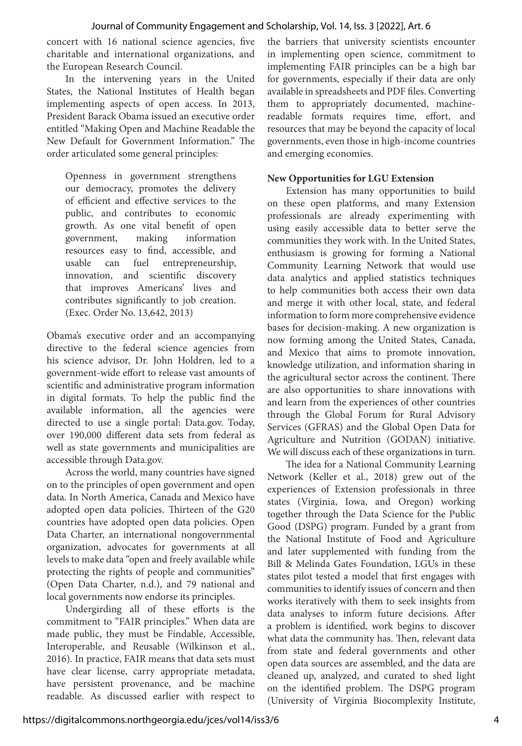concert with 16 national science agencies, five charitable and international organizations, and the European Research Council.

In the intervening years in the United States, the National Institutes of Health began implementing aspects of open access. In 2013, President Barack Obama issued an executive order entitled "Making Open and Machine Readable the New Default for Government Information." The order articulated some general principles:

Openness in government strengthens our democracy, promotes the delivery of efficient and effective services to the public, and contributes to economic growth. As one vital benefit of open government, making information resources easy to find, accessible, and usable can fuel entrepreneurship, innovation, and scientific discovery that improves Americans' lives and contributes significantly to job creation. (Exec. Order No. 13,642, 2013)

Obama's executive order and an accompanying directive to the federal science agencies from his science advisor, Dr. John Holdren, led to a government-wide effort to release vast amounts of scientific and administrative program information in digital formats. To help the public find the available information, all the agencies were directed to use a single portal: Data.gov. Today, over 190,000 different data sets from federal as well as state governments and municipalities are accessible through Data.gov.

Across the world, many countries have signed on to the principles of open government and open data. In North America, Canada and Mexico have adopted open data policies. Thirteen of the G20 countries have adopted open data policies. Open Data Charter, an international nongovernmental organization, advocates for governments at all levels to make data "open and freely available while protecting the rights of people and communities" (Open Data Charter, n.d.), and 79 national and local governments now endorse its principles.

Undergirding all of these efforts is the commitment to "FAIR principles." When data are made public, they must be Findable, Accessible, Interoperable, and Reusable (Wilkinson et al., 2016). In practice, FAIR means that data sets must have clear license, carry appropriate metadata, have persistent provenance, and be machine readable. As discussed earlier with respect to

the barriers that university scientists encounter in implementing open science, commitment to implementing FAIR principles can be a high bar for governments, especially if their data are only available in spreadsheets and PDF files. Converting them to appropriately documented, machinereadable formats requires time, effort, and resources that may be beyond the capacity of local governments, even those in high-income countries and emerging economies.

#### **New Opportunities for LGU Extension**

Extension has many opportunities to build on these open platforms, and many Extension professionals are already experimenting with using easily accessible data to better serve the communities they work with. In the United States, enthusiasm is growing for forming a National Community Learning Network that would use data analytics and applied statistics techniques to help communities both access their own data and merge it with other local, state, and federal information to form more comprehensive evidence bases for decision-making. A new organization is now forming among the United States, Canada, and Mexico that aims to promote innovation, knowledge utilization, and information sharing in the agricultural sector across the continent. There are also opportunities to share innovations with and learn from the experiences of other countries through the Global Forum for Rural Advisory Services (GFRAS) and the Global Open Data for Agriculture and Nutrition (GODAN) initiative. We will discuss each of these organizations in turn.

The idea for a National Community Learning Network (Keller et al., 2018) grew out of the experiences of Extension professionals in three states (Virginia, Iowa, and Oregon) working together through the Data Science for the Public Good (DSPG) program. Funded by a grant from the National Institute of Food and Agriculture and later supplemented with funding from the Bill & Melinda Gates Foundation, LGUs in these states pilot tested a model that first engages with communities to identify issues of concern and then works iteratively with them to seek insights from data analyses to inform future decisions. After a problem is identified, work begins to discover what data the community has. Then, relevant data from state and federal governments and other open data sources are assembled, and the data are cleaned up, analyzed, and curated to shed light on the identified problem. The DSPG program (University of Virginia Biocomplexity Institute,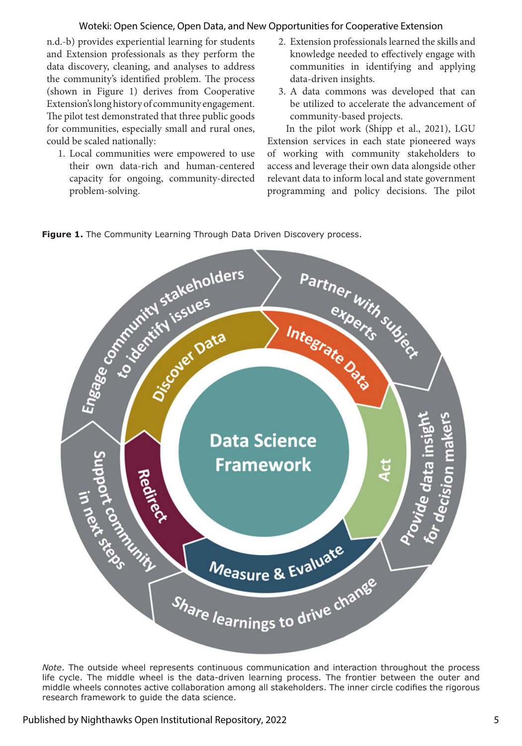## Woteki: Open Science, Open Data, and New Opportunities for Cooperative Extension

n.d.-b) provides experiential learning for students and Extension professionals as they perform the data discovery, cleaning, and analyses to address the community's identified problem. The process (shown in Figure 1) derives from Cooperative Extension's long history of community engagement. The pilot test demonstrated that three public goods for communities, especially small and rural ones, could be scaled nationally:

- 1. Local communities were empowered to use their own data-rich and human-centered capacity for ongoing, community-directed problem-solving.
- 2. Extension professionals learned the skills and knowledge needed to effectively engage with communities in identifying and applying data-driven insights.
- 3. A data commons was developed that can be utilized to accelerate the advancement of community-based projects.

In the pilot work (Shipp et al., 2021), LGU Extension services in each state pioneered ways of working with community stakeholders to access and leverage their own data alongside other relevant data to inform local and state government programming and policy decisions. The pilot





*Note*. The outside wheel represents continuous communication and interaction throughout the process life cycle. The middle wheel is the data-driven learning process. The frontier between the outer and middle wheels connotes active collaboration among all stakeholders. The inner circle codifies the rigorous research framework to guide the data science.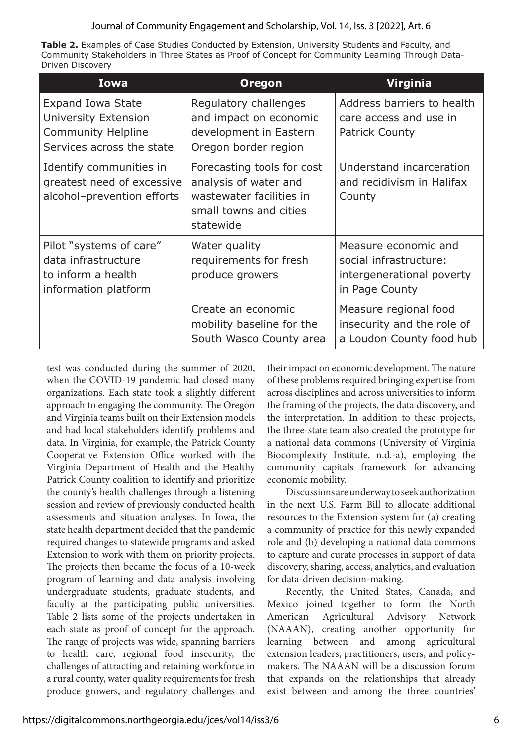## Journal of Community Engagement and Scholarship, Vol. 14, Iss. 3 [2022], Art. 6

**Table 2.** Examples of Case Studies Conducted by Extension, University Students and Faculty, and Community Stakeholders in Three States as Proof of Concept for Community Learning Through Data-Driven Discovery

| <b>Iowa</b>                                                                                         | <b>Oregon</b>                                                                                                          | <b>Virginia</b>                                                                               |
|-----------------------------------------------------------------------------------------------------|------------------------------------------------------------------------------------------------------------------------|-----------------------------------------------------------------------------------------------|
| <b>Expand Iowa State</b><br>University Extension<br>Community Helpline<br>Services across the state | Regulatory challenges<br>and impact on economic<br>development in Eastern<br>Oregon border region                      | Address barriers to health<br>care access and use in<br><b>Patrick County</b>                 |
| Identify communities in<br>greatest need of excessive<br>alcohol-prevention efforts                 | Forecasting tools for cost<br>analysis of water and<br>wastewater facilities in<br>small towns and cities<br>statewide | Understand incarceration<br>and recidivism in Halifax<br>County                               |
| Pilot "systems of care"<br>data infrastructure<br>to inform a health<br>information platform        | Water quality<br>requirements for fresh<br>produce growers                                                             | Measure economic and<br>social infrastructure:<br>intergenerational poverty<br>in Page County |
|                                                                                                     | Create an economic<br>mobility baseline for the<br>South Wasco County area                                             | Measure regional food<br>insecurity and the role of<br>a Loudon County food hub               |

test was conducted during the summer of 2020, when the COVID-19 pandemic had closed many organizations. Each state took a slightly different approach to engaging the community. The Oregon and Virginia teams built on their Extension models and had local stakeholders identify problems and data. In Virginia, for example, the Patrick County Cooperative Extension Office worked with the Virginia Department of Health and the Healthy Patrick County coalition to identify and prioritize the county's health challenges through a listening session and review of previously conducted health assessments and situation analyses. In Iowa, the state health department decided that the pandemic required changes to statewide programs and asked Extension to work with them on priority projects. The projects then became the focus of a 10-week program of learning and data analysis involving undergraduate students, graduate students, and faculty at the participating public universities. Table 2 lists some of the projects undertaken in each state as proof of concept for the approach. The range of projects was wide, spanning barriers to health care, regional food insecurity, the challenges of attracting and retaining workforce in a rural county, water quality requirements for fresh produce growers, and regulatory challenges and

their impact on economic development. The nature of these problems required bringing expertise from across disciplines and across universities to inform the framing of the projects, the data discovery, and the interpretation. In addition to these projects, the three-state team also created the prototype for a national data commons (University of Virginia Biocomplexity Institute, n.d.-a), employing the community capitals framework for advancing economic mobility.

Discussions are underway to seek authorization in the next U.S. Farm Bill to allocate additional resources to the Extension system for (a) creating a community of practice for this newly expanded role and (b) developing a national data commons to capture and curate processes in support of data discovery, sharing, access, analytics, and evaluation for data-driven decision-making.

Recently, the United States, Canada, and Mexico joined together to form the North American Agricultural Advisory Network (NAAAN), creating another opportunity for learning between and among agricultural extension leaders, practitioners, users, and policymakers. The NAAAN will be a discussion forum that expands on the relationships that already exist between and among the three countries'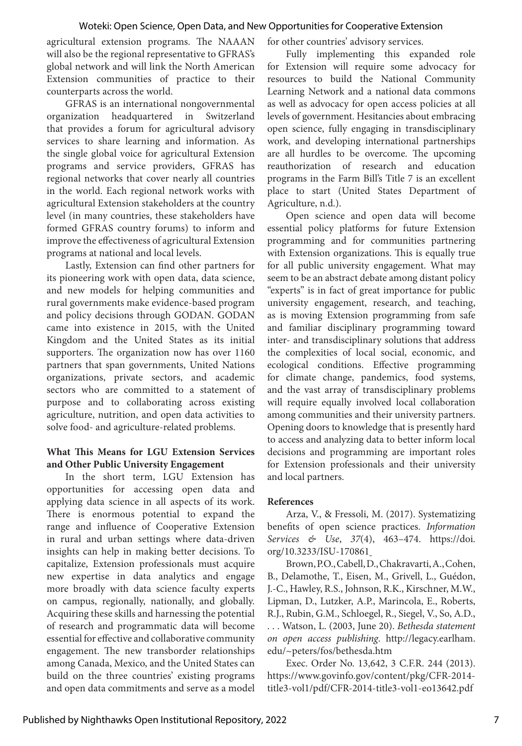agricultural extension programs. The NAAAN will also be the regional representative to GFRAS's global network and will link the North American Extension communities of practice to their counterparts across the world.

GFRAS is an international nongovernmental organization headquartered in Switzerland that provides a forum for agricultural advisory services to share learning and information. As the single global voice for agricultural Extension programs and service providers, GFRAS has regional networks that cover nearly all countries in the world. Each regional network works with agricultural Extension stakeholders at the country level (in many countries, these stakeholders have formed GFRAS country forums) to inform and improve the effectiveness of agricultural Extension programs at national and local levels.

Lastly, Extension can find other partners for its pioneering work with open data, data science, and new models for helping communities and rural governments make evidence-based program and policy decisions through GODAN. GODAN came into existence in 2015, with the United Kingdom and the United States as its initial supporters. The organization now has over 1160 partners that span governments, United Nations organizations, private sectors, and academic sectors who are committed to a statement of purpose and to collaborating across existing agriculture, nutrition, and open data activities to solve food- and agriculture-related problems.

## **What This Means for LGU Extension Services and Other Public University Engagement**

In the short term, LGU Extension has opportunities for accessing open data and applying data science in all aspects of its work. There is enormous potential to expand the range and influence of Cooperative Extension in rural and urban settings where data-driven insights can help in making better decisions. To capitalize, Extension professionals must acquire new expertise in data analytics and engage more broadly with data science faculty experts on campus, regionally, nationally, and globally. Acquiring these skills and harnessing the potential of research and programmatic data will become essential for effective and collaborative community engagement. The new transborder relationships among Canada, Mexico, and the United States can build on the three countries' existing programs and open data commitments and serve as a model

for other countries' advisory services.

Fully implementing this expanded role for Extension will require some advocacy for resources to build the National Community Learning Network and a national data commons as well as advocacy for open access policies at all levels of government. Hesitancies about embracing open science, fully engaging in transdisciplinary work, and developing international partnerships are all hurdles to be overcome. The upcoming reauthorization of research and education programs in the Farm Bill's Title 7 is an excellent place to start (United States Department of Agriculture, n.d.).

Open science and open data will become essential policy platforms for future Extension programming and for communities partnering with Extension organizations. This is equally true for all public university engagement. What may seem to be an abstract debate among distant policy "experts" is in fact of great importance for public university engagement, research, and teaching, as is moving Extension programming from safe and familiar disciplinary programming toward inter- and transdisciplinary solutions that address the complexities of local social, economic, and ecological conditions. Effective programming for climate change, pandemics, food systems, and the vast array of transdisciplinary problems will require equally involved local collaboration among communities and their university partners. Opening doors to knowledge that is presently hard to access and analyzing data to better inform local decisions and programming are important roles for Extension professionals and their university and local partners.

# **References**

Arza, V., & Fressoli, M. (2017). Systematizing benefits of open science practices. *Information Services & Use*, *37*(4), 463–474. https://doi. org/10.3233/ISU-170861

Brown, P.O., Cabell, D., Chakravarti, A., Cohen, B., Delamothe, T., Eisen, M., Grivell, L., Guédon, J.-C., Hawley, R.S., Johnson, R.K., Kirschner, M.W., Lipman, D., Lutzker, A.P., Marincola, E., Roberts, R.J., Rubin, G.M., Schloegel, R., Siegel, V., So, A.D., . . . Watson, L. (2003, June 20). *Bethesda statement on open access publishing*. http://legacy.earlham. edu/~peters/fos/bethesda.htm

Exec. Order No. 13,642, 3 C.F.R. 244 (2013). https://www.govinfo.gov/content/pkg/CFR-2014 title3-vol1/pdf/CFR-2014-title3-vol1-eo13642.pdf